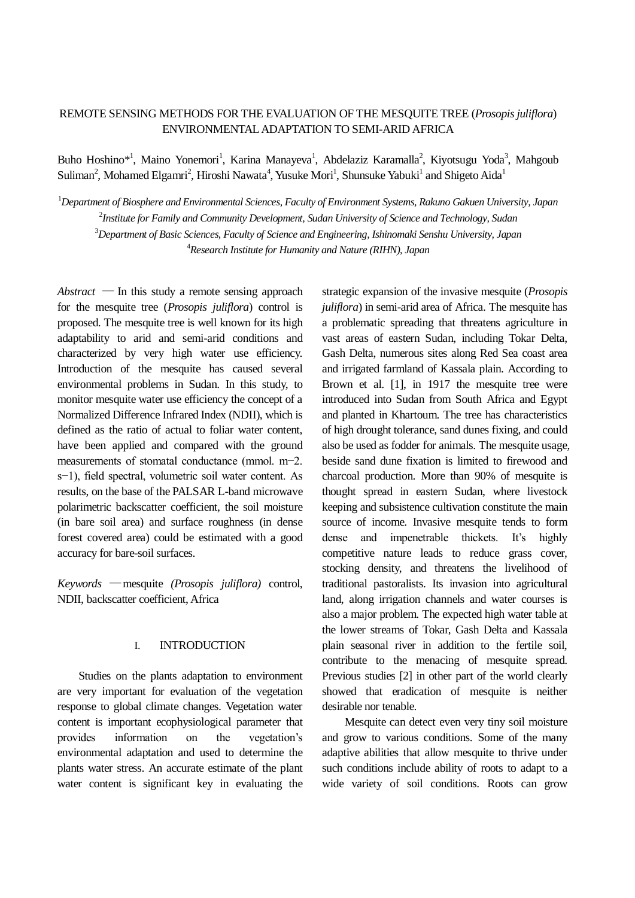# REMOTE SENSING METHODS FOR THE EVALUATION OF THE MESQUITE TREE (*Prosopis juliflora*) ENVIRONMENTAL ADAPTATION TO SEMI-ARID AFRICA

Buho Hoshino\*<sup>1</sup>, Maino Yonemori<sup>1</sup>, Karina Manayeva<sup>1</sup>, Abdelaziz Karamalla<sup>2</sup>, Kiyotsugu Yoda<sup>3</sup>, Mahgoub Suliman<sup>2</sup>, Mohamed Elgamri<sup>2</sup>, Hiroshi Nawata<sup>4</sup>, Yusuke Mori<sup>1</sup>, Shunsuke Yabuki<sup>1</sup> and Shigeto Aida<sup>1</sup>

<sup>1</sup>*Department of Biosphere and Environmental Sciences, Faculty of Environment Systems, Rakuno Gakuen University, Japan*

2 *Institute for Family and Community Development, Sudan University of Science and Technology, Sudan*

<sup>3</sup>*Department of Basic Sciences, Faculty of Science and Engineering, Ishinomaki Senshu University, Japan*

<sup>4</sup>*Research Institute for Humanity and Nature (RIHN), Japan*

 $Abstract$  — In this study a remote sensing approach for the mesquite tree (*Prosopis juliflora*) control is proposed. The mesquite tree is well known for its high adaptability to arid and semi-arid conditions and characterized by very high water use efficiency. Introduction of the mesquite has caused several environmental problems in Sudan. In this study, to monitor mesquite water use efficiency the concept of a Normalized Difference Infrared Index (NDII), which is defined as the ratio of actual to foliar water content, have been applied and compared with the ground measurements of stomatal conductance (mmol. m−2. s−1), field spectral, volumetric soil water content. As results, on the base of the PALSAR L-band microwave polarimetric backscatter coefficient, the soil moisture (in bare soil area) and surface roughness (in dense forest covered area) could be estimated with a good accuracy for bare-soil surfaces.

*Keywords* ―mesquite *(Prosopis juliflora)* control, NDII, backscatter coefficient, Africa

## I. INTRODUCTION

Studies on the plants adaptation to environment are very important for evaluation of the vegetation response to global climate changes. Vegetation water content is important ecophysiological parameter that provides information on the vegetation's environmental adaptation and used to determine the plants water stress. An accurate estimate of the plant water content is significant key in evaluating the

strategic expansion of the invasive mesquite (*Prosopis juliflora*) in semi-arid area of Africa. The mesquite has a problematic spreading that threatens agriculture in vast areas of eastern Sudan, including Tokar Delta, Gash Delta, numerous sites along Red Sea coast area and irrigated farmland of Kassala plain. According to Brown et al. [1], in 1917 the mesquite tree were introduced into Sudan from South Africa and Egypt and planted in Khartoum. The tree has characteristics of high drought tolerance, sand dunes fixing, and could also be used as fodder for animals. The mesquite usage, beside sand dune fixation is limited to firewood and charcoal production. More than 90% of mesquite is thought spread in eastern Sudan, where livestock keeping and subsistence cultivation constitute the main source of income. Invasive mesquite tends to form dense and impenetrable thickets. It's highly competitive nature leads to reduce grass cover, stocking density, and threatens the livelihood of traditional pastoralists. Its invasion into agricultural land, along irrigation channels and water courses is also a major problem. The expected high water table at the lower streams of Tokar, Gash Delta and Kassala plain seasonal river in addition to the fertile soil, contribute to the menacing of mesquite spread. Previous studies [2] in other part of the world clearly showed that eradication of mesquite is neither desirable nor tenable.

Mesquite can detect even very tiny soil moisture and grow to various conditions. Some of the many adaptive abilities that allow mesquite to thrive under such conditions include ability of roots to adapt to a wide variety of soil conditions. Roots can grow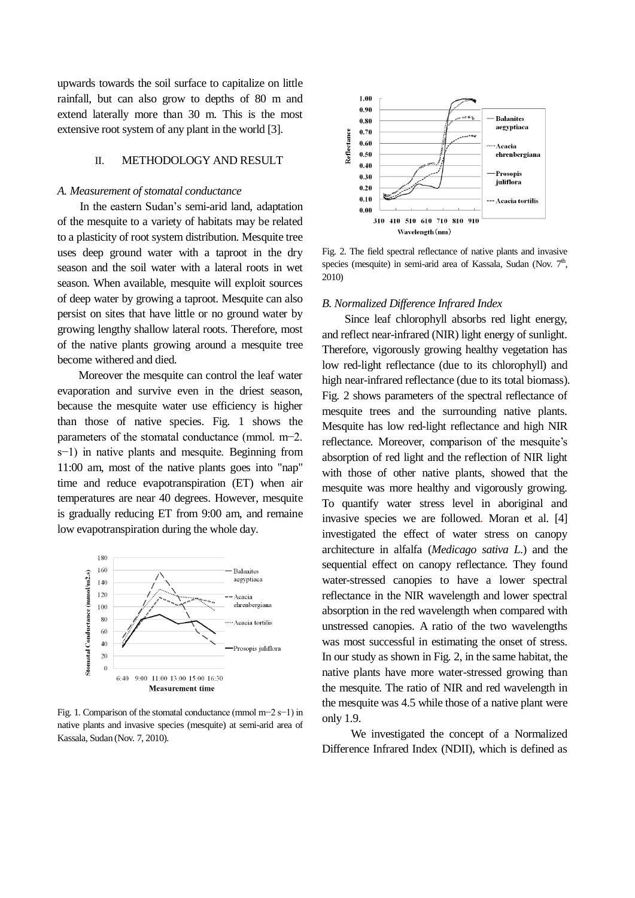upwards towards the soil surface to capitalize on little rainfall, but can also grow to depths of 80 m and extend laterally more than 30 m. This is the most extensive root system of any plant in the world [3].

### II. METHODOLOGY AND RESULT

#### *A. Measurement of stomatal conductance*

In the eastern Sudan's semi-arid land, adaptation of the mesquite to a variety of habitats may be related to a plasticity of root system distribution. Mesquite tree uses deep ground water with a taproot in the dry season and the soil water with a lateral roots in wet season. When available, mesquite will exploit sources of deep water by growing a taproot. Mesquite can also persist on sites that have little or no ground water by growing lengthy shallow lateral roots. Therefore, most of the native plants growing around a mesquite tree become withered and died.

Moreover the mesquite can control the leaf water evaporation and survive even in the driest season, because the mesquite water use efficiency is higher than those of native species. Fig. 1 shows the parameters of the stomatal conductance (mmol. m−2. s−1) in native plants and mesquite. Beginning from 11:00 am, most of the native plants goes into "nap" time and reduce evapotranspiration (ET) when air temperatures are near 40 degrees. However, mesquite is gradually reducing ET from 9:00 am, and remaine low evapotranspiration during the whole day.



Fig. 1. Comparison of the stomatal conductance (mmol m−2 s−1) in native plants and invasive species (mesquite) at semi-arid area of Kassala, Sudan (Nov. 7, 2010).



Fig. 2. The field spectral reflectance of native plants and invasive species (mesquite) in semi-arid area of Kassala, Sudan (Nov. 7<sup>th</sup>, 2010)

#### *B. Normalized Difference Infrared Index*

Since leaf chlorophyll absorbs red light energy, and reflect near-infrared (NIR) light energy of sunlight. Therefore, vigorously growing healthy vegetation has low red-light reflectance (due to its chlorophyll) and high near-infrared reflectance (due to its total biomass). Fig. 2 shows parameters of the spectral reflectance of mesquite trees and the surrounding native plants. Mesquite has low red-light reflectance and high NIR reflectance. Moreover, comparison of the mesquite's absorption of red light and the reflection of NIR light with those of other native plants, showed that the mesquite was more healthy and vigorously growing. To quantify water stress level in aboriginal and invasive species we are followed. Moran et al. [4] investigated the effect of water stress on canopy architecture in alfalfa (*Medicago sativa L*.) and the sequential effect on canopy reflectance. They found water-stressed canopies to have a lower spectral reflectance in the NIR wavelength and lower spectral absorption in the red wavelength when compared with unstressed canopies. A ratio of the two wavelengths was most successful in estimating the onset of stress. In our study as shown in Fig. 2, in the same habitat, the native plants have more water-stressed growing than the mesquite. The ratio of NIR and red wavelength in the mesquite was 4.5 while those of a native plant were only 1.9.

We investigated the concept of a Normalized Difference Infrared Index (NDII), which is defined as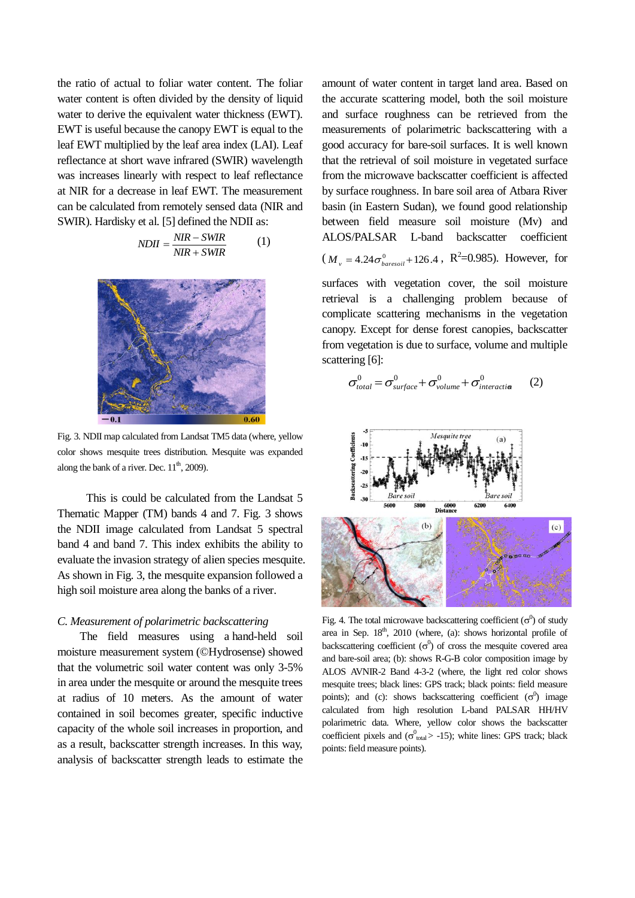the ratio of actual to foliar water content. The foliar water content is often divided by the density of liquid water to derive the equivalent water thickness (EWT). EWT is useful because the canopy EWT is equal to the leaf EWT multiplied by the leaf area index (LAI). Leaf reflectance at short wave infrared (SWIR) wavelength was increases linearly with respect to leaf reflectance at NIR for a decrease in leaf EWT. The measurement can be calculated from remotely sensed data (NIR and SWIR). Hardisky et al. [5] defined the NDII as:

$$
NDII = \frac{NIR - SWIR}{NIR + SWIR}
$$
 (1)



Fig. 3. NDII map calculated from Landsat TM5 data (where, yellow color shows mesquite trees distribution. Mesquite was expanded along the bank of a river. Dec.  $11<sup>th</sup>$ , 2009).

This is could be calculated from the Landsat 5 Thematic Mapper (TM) bands 4 and 7. Fig. 3 shows the NDII image calculated from Landsat 5 spectral band 4 and band 7. This index exhibits the ability to evaluate the invasion strategy of alien species mesquite. As shown in Fig. 3, the mesquite expansion followed a high soil moisture area along the banks of a river.

#### *C. Measurement of polarimetric backscattering*

The field measures using a hand-held soil moisture measurement system (©Hydrosense) showed that the volumetric soil water content was only 3-5% in area under the mesquite or around the mesquite trees at radius of 10 meters. As the amount of water contained in soil becomes greater, specific inductive capacity of the whole soil increases in proportion, and as a result, backscatter strength increases. In this way, analysis of backscatter strength leads to estimate the amount of water content in target land area. Based on the accurate scattering model, both the soil moisture and surface roughness can be retrieved from the measurements of polarimetric backscattering with a good accuracy for bare-soil surfaces. It is well known that the retrieval of soil moisture in vegetated surface from the microwave backscatter coefficient is affected by surface roughness. In bare soil area of Atbara River basin (in Eastern Sudan), we found good relationship between field measure soil moisture (Mv) and ALOS/PALSAR L-band backscatter coefficient  $(M<sub>v</sub> = 4.24 \sigma_{baresoil}^{0} + 126.4$ , R<sup>2</sup>=0.985). However, for

surfaces with vegetation cover, the soil moisture retrieval is a challenging problem because of complicate scattering mechanisms in the vegetation canopy. Except for dense forest canopies, backscatter from vegetation is due to surface, volume and multiple scattering [6]:

$$
\sigma_{total}^{0} = \sigma_{surface}^{0} + \sigma_{volume}^{0} + \sigma_{interaction}^{0}
$$
 (2)



Fig. 4. The total microwave backscattering coefficient ( $\sigma^0$ ) of study area in Sep. 18<sup>th</sup>, 2010 (where, (a): shows horizontal profile of backscattering coefficient  $(\sigma^0)$  of cross the mesquite covered area and bare-soil area; (b): shows R-G-B color composition image by ALOS AVNIR-2 Band 4-3-2 (where, the light red color shows mesquite trees; black lines: GPS track; black points: field measure points); and (c): shows backscattering coefficient  $(\sigma^0)$  image calculated from high resolution L-band PALSAR HH/HV polarimetric data. Where, yellow color shows the backscatter coefficient pixels and ( $\sigma_{\text{total}}^0$  > -15); white lines: GPS track; black points: field measure points).